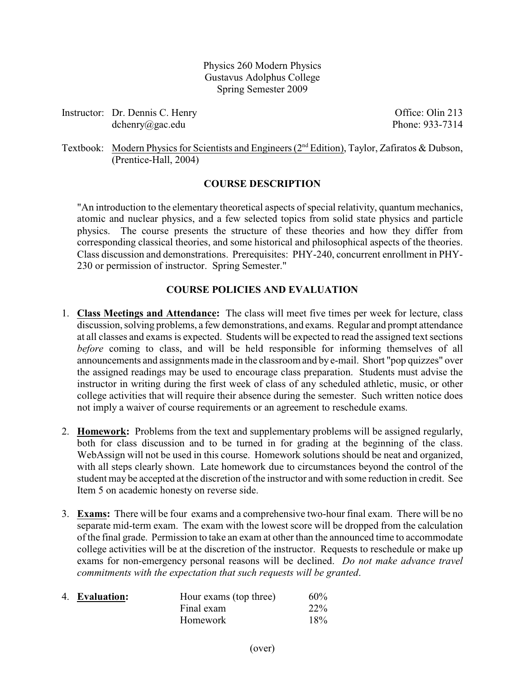Physics 260 Modern Physics Gustavus Adolphus College Spring Semester 2009

Instructor: Dr. Dennis C. Henry **Office**: Olin 213 dchenry@gac.edu Phone: 933-7314

Textbook: Modern Physics for Scientists and Engineers ( $2<sup>nd</sup> Edition$ ), Taylor, Zafiratos & Dubson, (Prentice-Hall, 2004)

## **COURSE DESCRIPTION**

"An introduction to the elementary theoretical aspects of special relativity, quantum mechanics, atomic and nuclear physics, and a few selected topics from solid state physics and particle physics. The course presents the structure of these theories and how they differ from corresponding classical theories, and some historical and philosophical aspects of the theories. Class discussion and demonstrations. Prerequisites: PHY-240, concurrent enrollment in PHY-230 or permission of instructor. Spring Semester."

## **COURSE POLICIES AND EVALUATION**

- 1. **Class Meetings and Attendance:** The class will meet five times per week for lecture, class discussion, solving problems, a few demonstrations, and exams. Regular and prompt attendance at all classes and exams is expected. Students will be expected to read the assigned text sections *before* coming to class, and will be held responsible for informing themselves of all announcements and assignments made in the classroom and by e-mail. Short "pop quizzes" over the assigned readings may be used to encourage class preparation. Students must advise the instructor in writing during the first week of class of any scheduled athletic, music, or other college activities that will require their absence during the semester. Such written notice does not imply a waiver of course requirements or an agreement to reschedule exams.
- 2. **Homework:** Problems from the text and supplementary problems will be assigned regularly, both for class discussion and to be turned in for grading at the beginning of the class. WebAssign will not be used in this course. Homework solutions should be neat and organized, with all steps clearly shown. Late homework due to circumstances beyond the control of the student may be accepted at the discretion of the instructor and with some reduction in credit. See Item 5 on academic honesty on reverse side.
- 3. **Exams:** There will be four exams and a comprehensive two-hour final exam. There will be no separate mid-term exam. The exam with the lowest score will be dropped from the calculation of the final grade. Permission to take an exam at other than the announced time to accommodate college activities will be at the discretion of the instructor. Requests to reschedule or make up exams for non-emergency personal reasons will be declined. *Do not make advance travel commitments with the expectation that such requests will be granted*.

| 4. Evaluation: | Hour exams (top three) | $60\%$ |
|----------------|------------------------|--------|
|                | Final exam             | $22\%$ |
|                | <b>Homework</b>        | 18%    |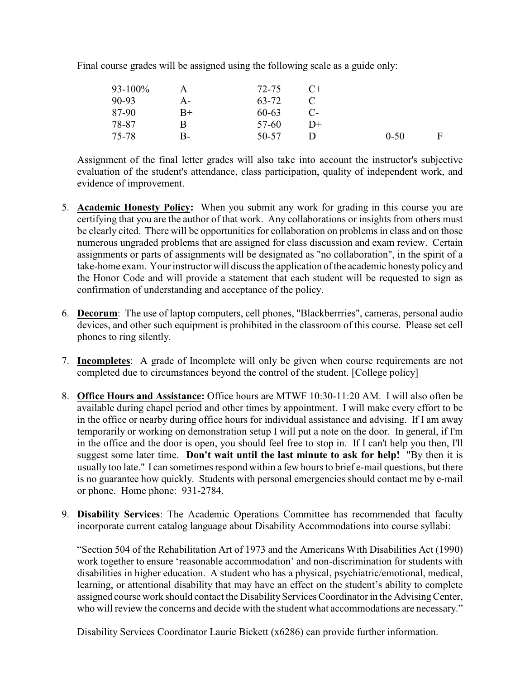Final course grades will be assigned using the following scale as a guide only:

| $93 - 100\%$ |      | 72-75 | $C+$ |          |   |
|--------------|------|-------|------|----------|---|
| 90-93        | А-   | 63-72 |      |          |   |
| 87-90        | $B+$ | 60-63 |      |          |   |
| 78-87        | В    | 57-60 | D+   |          |   |
| 75-78        | B-   | 50-57 |      | $0 - 50$ | F |

Assignment of the final letter grades will also take into account the instructor's subjective evaluation of the student's attendance, class participation, quality of independent work, and evidence of improvement.

- 5. **Academic Honesty Policy:** When you submit any work for grading in this course you are certifying that you are the author of that work. Any collaborations or insights from others must be clearly cited. There will be opportunities for collaboration on problems in class and on those numerous ungraded problems that are assigned for class discussion and exam review. Certain assignments or parts of assignments will be designated as "no collaboration", in the spirit of a take-home exam. Your instructor will discuss the application of the academic honesty policy and the Honor Code and will provide a statement that each student will be requested to sign as confirmation of understanding and acceptance of the policy.
- 6. **Decorum**: The use of laptop computers, cell phones, "Blackberrries", cameras, personal audio devices, and other such equipment is prohibited in the classroom of this course. Please set cell phones to ring silently.
- 7. **Incompletes**: A grade of Incomplete will only be given when course requirements are not completed due to circumstances beyond the control of the student. [College policy]
- 8. **Office Hours and Assistance:** Office hours are MTWF 10:30-11:20 AM. I will also often be available during chapel period and other times by appointment. I will make every effort to be in the office or nearby during office hours for individual assistance and advising. If I am away temporarily or working on demonstration setup I will put a note on the door. In general, if I'm in the office and the door is open, you should feel free to stop in. If I can't help you then, I'll suggest some later time. **Don't wait until the last minute to ask for help!** "By then it is usually too late." I can sometimes respond within a few hours to brief e-mail questions, but there is no guarantee how quickly. Students with personal emergencies should contact me by e-mail or phone. Home phone: 931-2784.
- 9. **Disability Services**: The Academic Operations Committee has recommended that faculty incorporate current catalog language about Disability Accommodations into course syllabi:

"Section 504 of the Rehabilitation Art of 1973 and the Americans With Disabilities Act (1990) work together to ensure 'reasonable accommodation' and non-discrimination for students with disabilities in higher education. A student who has a physical, psychiatric/emotional, medical, learning, or attentional disability that may have an effect on the student's ability to complete assigned course work should contact the Disability Services Coordinator in the Advising Center, who will review the concerns and decide with the student what accommodations are necessary."

Disability Services Coordinator Laurie Bickett (x6286) can provide further information.